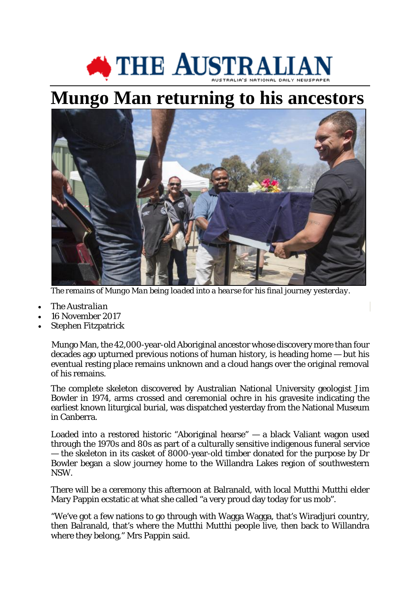## THE AUSTRALIAN

## **[Mungo Man returning to his ancestors](http://cdn.newsapi.com.au/image/v1/5ae3c12ca2073bcc28c46410ecd7f486?width=1024)**



*The remains of Mungo Man being loaded into a hearse for his final journey yesterday.* 

- *The Australian*
- 16 November 2017
- Stephen Fitzpatrick

Mungo Man, the 42,000-year-old Aboriginal ancestor whose discovery more than four decades ago upturned previous notions of human history, is heading home — but his eventual resting place remains unknown and a cloud hangs over the original removal of his remains.

The complete skeleton discovered by Australian National University geologist Jim Bowler in 1974, arms crossed and ceremonial ochre in his gravesite indicating the earliest known liturgical burial, was dispatched yesterday from the National Museum in Canberra.

Loaded into a restored historic "Aboriginal hearse" — a black Valiant wagon used through the 1970s and 80s as part of a culturally sensitive indigenous funeral service — the skeleton in its casket of 8000-year-old timber donated for the purpose by Dr Bowler began a slow journey home to the Willandra Lakes region of southwestern NSW.

There will be a ceremony this afternoon at Balranald, with local Mutthi Mutthi elder Mary Pappin ecstatic at what she called "a very proud day today for us mob".

"We've got a few nations to go through with Wagga Wagga, that's Wiradjuri country, then Balranald, that's where the Mutthi Mutthi people live, then back to Willandra where they belong," Mrs Pappin said.